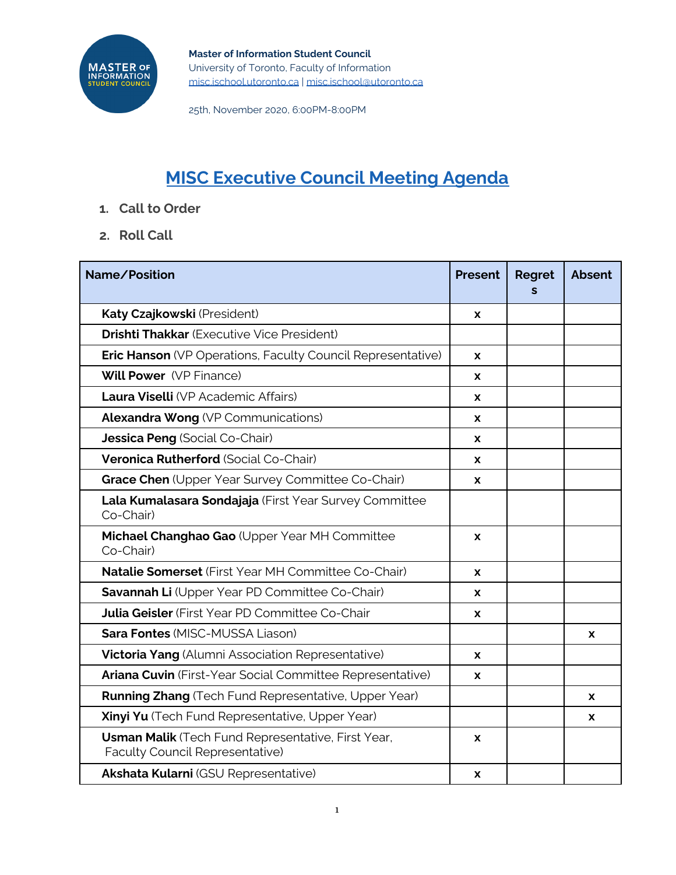

25th, November 2020, 6:00PM-8:00PM

# **MISC Executive Council Meeting Agenda**

- **1. Call to Order**
- **2. Roll Call**

| Name/Position                                                                         | <b>Present</b> | <b>Regret</b><br>S | <b>Absent</b> |
|---------------------------------------------------------------------------------------|----------------|--------------------|---------------|
| Katy Czajkowski (President)                                                           | X              |                    |               |
| <b>Drishti Thakkar (Executive Vice President)</b>                                     |                |                    |               |
| <b>Eric Hanson</b> (VP Operations, Faculty Council Representative)                    | X              |                    |               |
| <b>Will Power</b> (VP Finance)                                                        | X              |                    |               |
| Laura Viselli (VP Academic Affairs)                                                   | X              |                    |               |
| <b>Alexandra Wong (VP Communications)</b>                                             | X              |                    |               |
| Jessica Peng (Social Co-Chair)                                                        | X              |                    |               |
| Veronica Rutherford (Social Co-Chair)                                                 | <b>X</b>       |                    |               |
| Grace Chen (Upper Year Survey Committee Co-Chair)                                     | X              |                    |               |
| Lala Kumalasara Sondajaja (First Year Survey Committee<br>Co-Chair)                   |                |                    |               |
| Michael Changhao Gao (Upper Year MH Committee<br>Co-Chair)                            | X              |                    |               |
| <b>Natalie Somerset</b> (First Year MH Committee Co-Chair)                            | X              |                    |               |
| Savannah Li (Upper Year PD Committee Co-Chair)                                        | <b>X</b>       |                    |               |
| <b>Julia Geisler</b> (First Year PD Committee Co-Chair                                | X              |                    |               |
| <b>Sara Fontes (MISC-MUSSA Liason)</b>                                                |                |                    | X             |
| <b>Victoria Yang</b> (Alumni Association Representative)                              | X              |                    |               |
| Ariana Cuvin (First-Year Social Committee Representative)                             | X              |                    |               |
| <b>Running Zhang</b> (Tech Fund Representative, Upper Year)                           |                |                    | <b>X</b>      |
| Xinyi Yu (Tech Fund Representative, Upper Year)                                       |                |                    | <b>X</b>      |
| Usman Malik (Tech Fund Representative, First Year,<br>Faculty Council Representative) | X              |                    |               |
| <b>Akshata Kularni (GSU Representative)</b>                                           | X              |                    |               |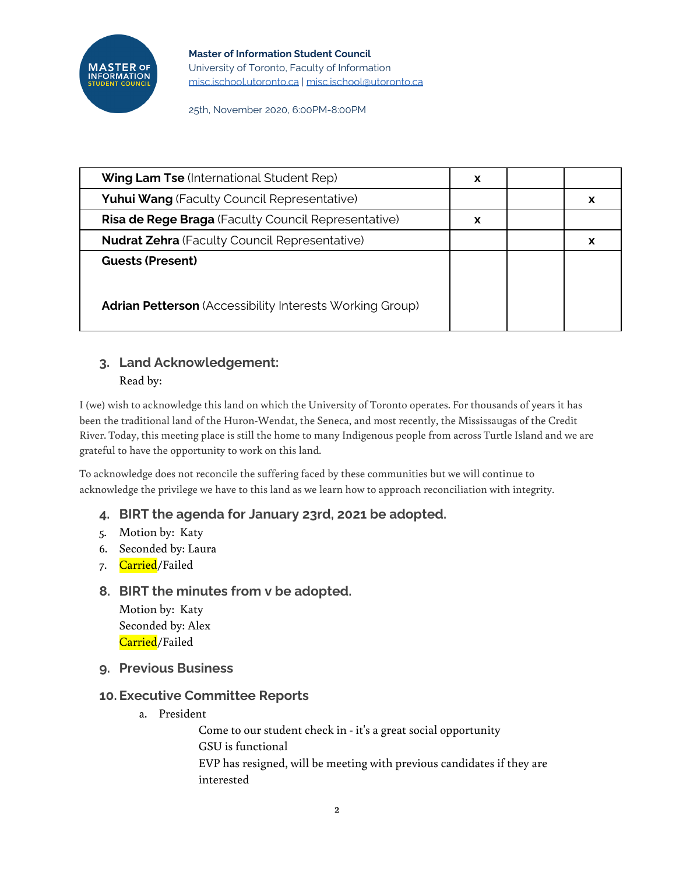

25th, November 2020, 6:00PM-8:00PM

| <b>Wing Lam Tse (International Student Rep)</b>                 | X |   |
|-----------------------------------------------------------------|---|---|
| <b>Yuhui Wang (Faculty Council Representative)</b>              |   | x |
| Risa de Rege Braga (Faculty Council Representative)             | X |   |
| <b>Nudrat Zehra</b> (Faculty Council Representative)            |   | x |
| <b>Guests (Present)</b>                                         |   |   |
|                                                                 |   |   |
| <b>Adrian Petterson</b> (Accessibility Interests Working Group) |   |   |

# **3. Land Acknowledgement:** Read by:

I (we) wish to acknowledge this land on which the University of Toronto operates. For thousands of years it has been the traditional land of the Huron-Wendat, the Seneca, and most recently, the Mississaugas of the Credit River. Today, this meeting place is still the home to many Indigenous people from across Turtle Island and we are grateful to have the opportunity to work on this land.

To acknowledge does not reconcile the suffering faced by these communities but we will continue to acknowledge the privilege we have to this land as we learn how to approach reconciliation with integrity.

# **4. BIRT the agenda for January 23rd, 2021 be adopted.**

- 5. Motion by: Katy
- 6. Seconded by: Laura
- 7. <mark>Carried</mark>/Failed

# **8. BIRT the minutes from v be adopted.**

Motion by: Katy Seconded by: Alex Carried/Failed

**9. Previous Business**

# **10. Executive Committee Reports**

a. President

Come to our student check in - it's a great social opportunity GSU is functional EVP has resigned, will be meeting with previous candidates if they are interested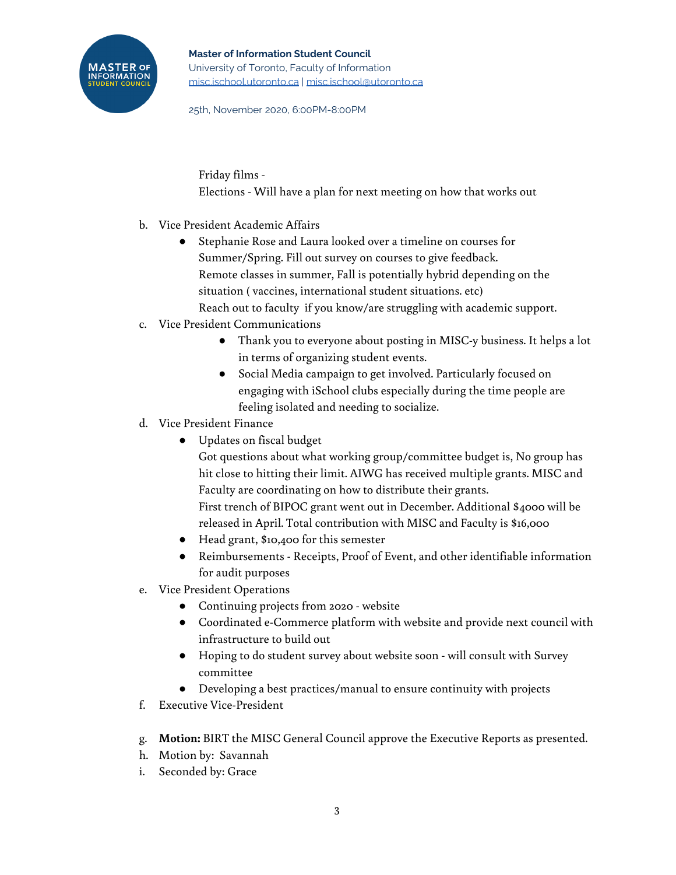25th, November 2020, 6:00PM-8:00PM

Friday films - Elections - Will have a plan for next meeting on how that works out

- b. Vice President Academic Affairs
	- Stephanie Rose and Laura looked over a timeline on courses for Summer/Spring. Fill out survey on courses to give feedback. Remote classes in summer, Fall is potentially hybrid depending on the situation ( vaccines, international student situations. etc) Reach out to faculty if you know/are struggling with academic support.
- c. Vice President Communications
	- Thank you to everyone about posting in MISC-y business. It helps a lot in terms of organizing student events.
	- Social Media campaign to get involved. Particularly focused on engaging with iSchool clubs especially during the time people are feeling isolated and needing to socialize.
- d. Vice President Finance
	- Updates on fiscal budget

Got questions about what working group/committee budget is, No group has hit close to hitting their limit. AIWG has received multiple grants. MISC and Faculty are coordinating on how to distribute their grants. First trench of BIPOC grant went out in December. Additional \$4000 will be released in April. Total contribution with MISC and Faculty is \$16,000

- Head grant, \$10,400 for this semester
- Reimbursements Receipts, Proof of Event, and other identifiable information for audit purposes
- e. Vice President Operations
	- Continuing projects from 2020 website
	- Coordinated e-Commerce platform with website and provide next council with infrastructure to build out
	- Hoping to do student survey about website soon will consult with Survey committee
	- Developing a best practices/manual to ensure continuity with projects
- f. Executive Vice-President
- g. **Motion:** BIRT the MISC General Council approve the Executive Reports as presented.
- h. Motion by: Savannah
- i. Seconded by: Grace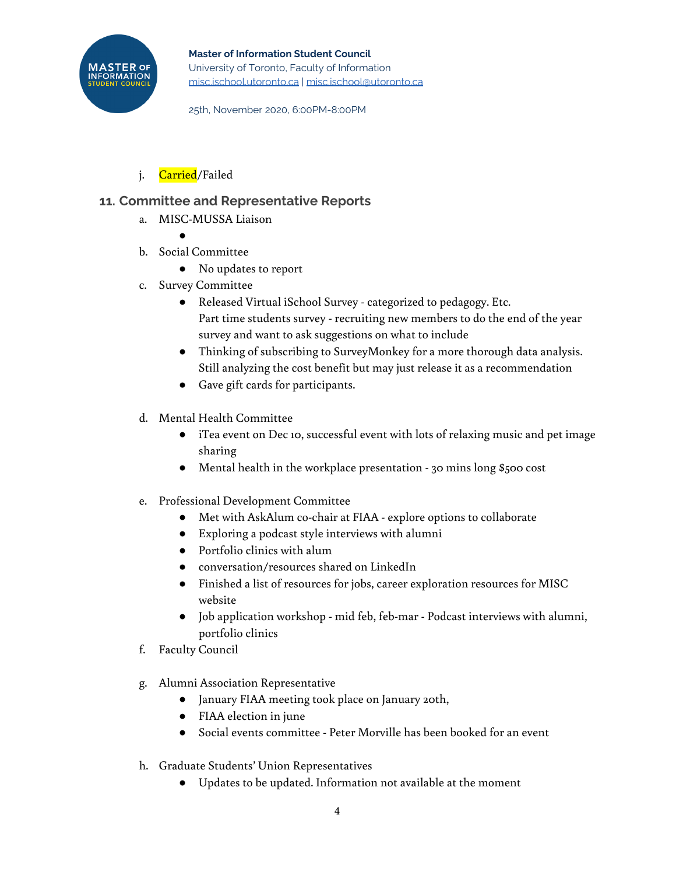

25th, November 2020, 6:00PM-8:00PM

j. Carried/Failed

●

# **11. Committee and Representative Reports**

a. MISC-MUSSA Liaison

- b. Social Committee
	- No updates to report
- c. Survey Committee
	- Released Virtual iSchool Survey categorized to pedagogy. Etc. Part time students survey - recruiting new members to do the end of the year survey and want to ask suggestions on what to include
	- Thinking of subscribing to SurveyMonkey for a more thorough data analysis. Still analyzing the cost benefit but may just release it as a recommendation
	- Gave gift cards for participants.
- d. Mental Health Committee
	- iTea event on Dec 10, successful event with lots of relaxing music and pet image sharing
	- Mental health in the workplace presentation 30 mins long \$500 cost
- e. Professional Development Committee
	- Met with AskAlum co-chair at FIAA explore options to collaborate
	- Exploring a podcast style interviews with alumni
	- Portfolio clinics with alum
	- conversation/resources shared on LinkedIn
	- Finished a list of resources for jobs, career exploration resources for MISC website
	- Job application workshop mid feb, feb-mar Podcast interviews with alumni, portfolio clinics
- f. Faculty Council
- g. Alumni Association Representative
	- January FIAA meeting took place on January 20th,
	- FIAA election in june
	- Social events committee Peter Morville has been booked for an event
- h. Graduate Students' Union Representatives
	- Updates to be updated. Information not available at the moment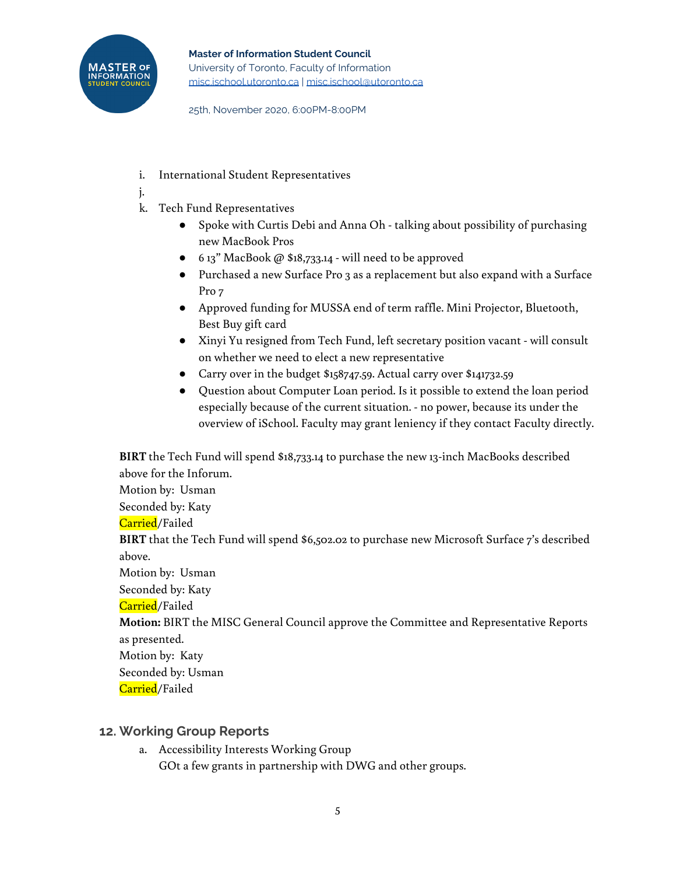

25th, November 2020, 6:00PM-8:00PM

- i. International Student Representatives
- j.
- k. Tech Fund Representatives
	- Spoke with Curtis Debi and Anna Oh talking about possibility of purchasing new MacBook Pros
	- $\bullet$  6 13" MacBook @ \$18,733.14 will need to be approved
	- Purchased a new Surface Pro 3 as a replacement but also expand with a Surface Pro 7
	- Approved funding for MUSSA end of term raffle. Mini Projector, Bluetooth, Best Buy gift card
	- Xinyi Yu resigned from Tech Fund, left secretary position vacant will consult on whether we need to elect a new representative
	- Carry over in the budget \$158747.59. Actual carry over \$141732.59
	- Question about Computer Loan period. Is it possible to extend the loan period especially because of the current situation. - no power, because its under the overview of iSchool. Faculty may grant leniency if they contact Faculty directly.

**BIRT** the Tech Fund will spend \$18,733.14 to purchase the new 13-inch MacBooks described above for the Inforum. Motion by: Usman Seconded by: Katy Carried/Failed **BIRT** that the Tech Fund will spend \$6,502.02 to purchase new Microsoft Surface 7's described above. Motion by: Usman Seconded by: Katy Carried/Failed **Motion:** BIRT the MISC General Council approve the Committee and Representative Reports as presented. Motion by: Katy Seconded by: Usman Carried/Failed

# **12. Working Group Reports**

a. Accessibility Interests Working Group GOt a few grants in partnership with DWG and other groups.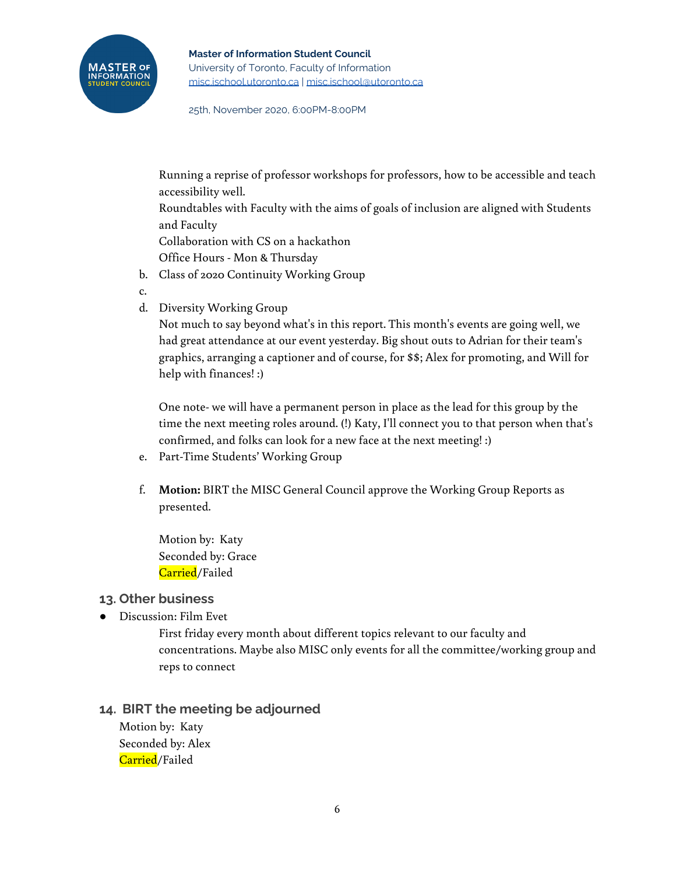25th, November 2020, 6:00PM-8:00PM

Running a reprise of professor workshops for professors, how to be accessible and teach accessibility well.

Roundtables with Faculty with the aims of goals of inclusion are aligned with Students and Faculty

Collaboration with CS on a hackathon

Office Hours - Mon & Thursday

- b. Class of 2020 Continuity Working Group
- c.
- d. Diversity Working Group

Not much to say beyond what's in this report. This month's events are going well, we had great attendance at our event yesterday. Big shout outs to Adrian for their team's graphics, arranging a captioner and of course, for \$\$; Alex for promoting, and Will for help with finances! :)

One note- we will have a permanent person in place as the lead for this group by the time the next meeting roles around. (!) Katy, I'll connect you to that person when that's confirmed, and folks can look for a new face at the next meeting! :)

- e. Part-Time Students' Working Group
- f. **Motion:** BIRT the MISC General Council approve the Working Group Reports as presented.

Motion by: Katy Seconded by: Grace Carried/Failed

# **13. Other business**

● Discussion: Film Evet

First friday every month about different topics relevant to our faculty and concentrations. Maybe also MISC only events for all the committee/working group and reps to connect

# **14. BIRT the meeting be adjourned**

Motion by: Katy Seconded by: Alex Carried/Failed